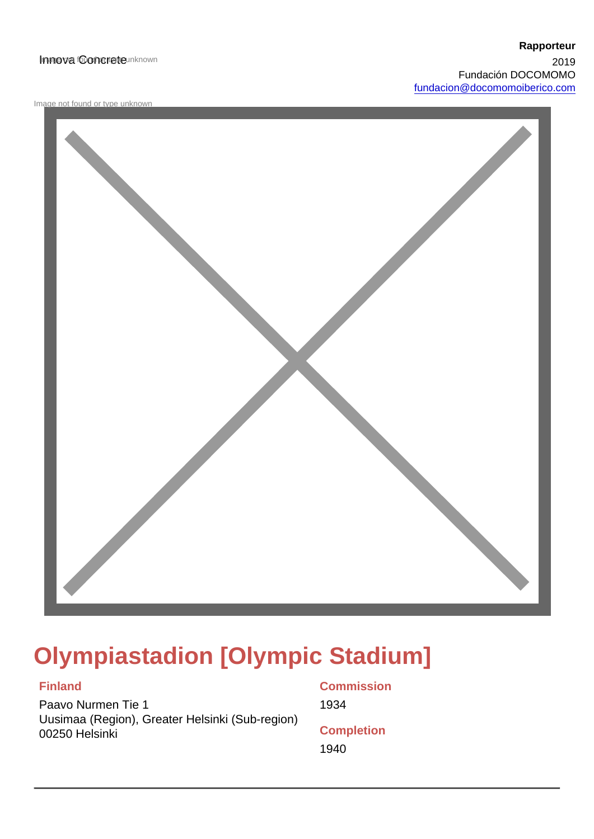#### Innova fooncrete unknown

Image not found or type unknown

# Olympiastadion [Olympic Stadium]

Finland

Paavo Nurmen Tie 1 Uusimaa (Region), Greater Helsinki (Sub-region) 00250 Helsinki

**Commission** 1934 **Completion** 1940